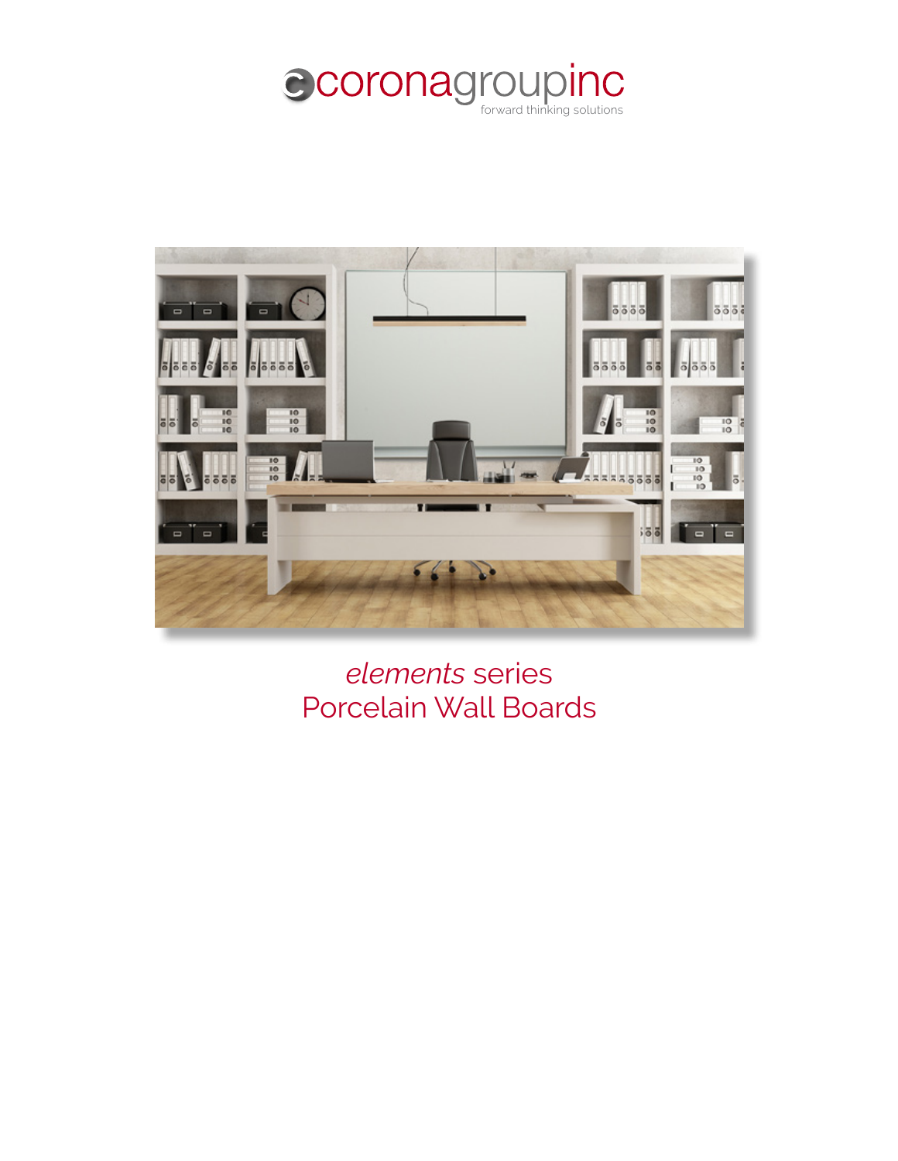



## *elements* series Porcelain Wall Boards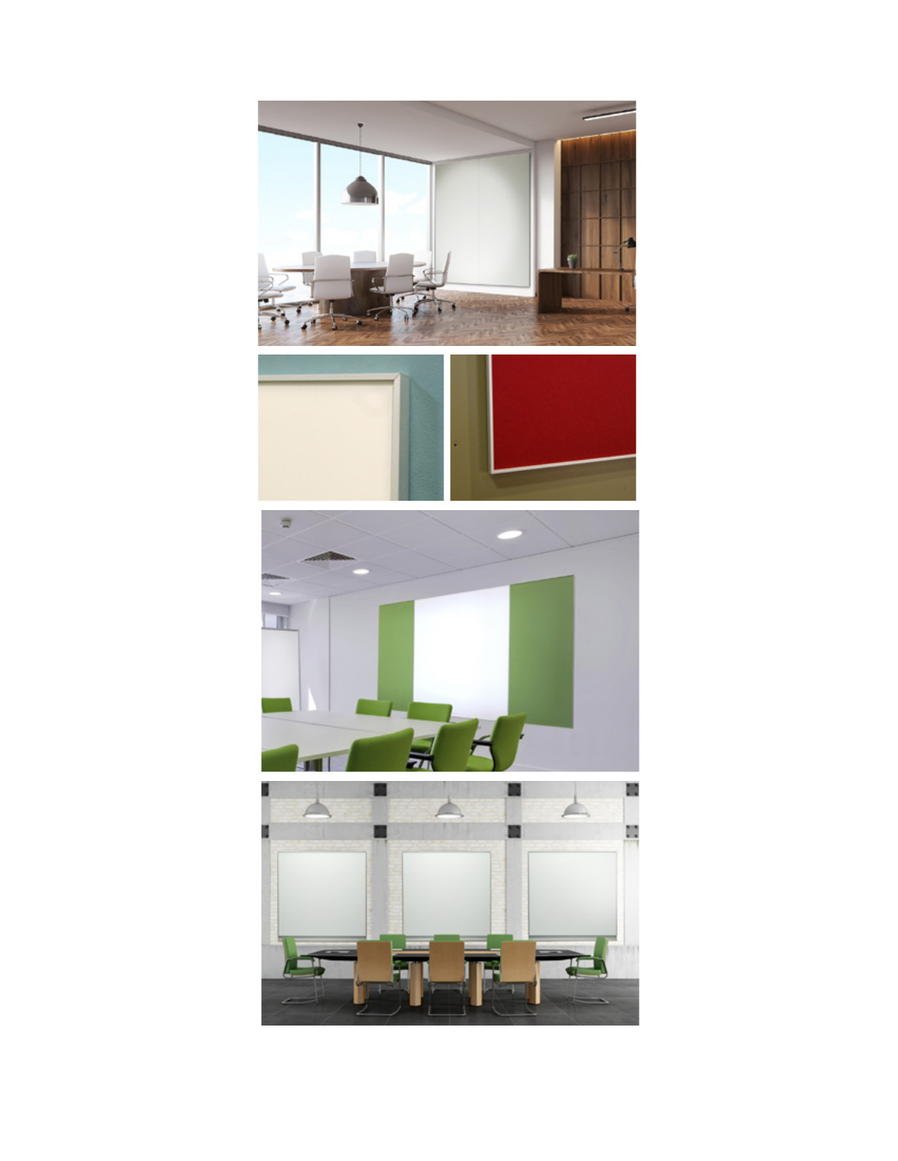